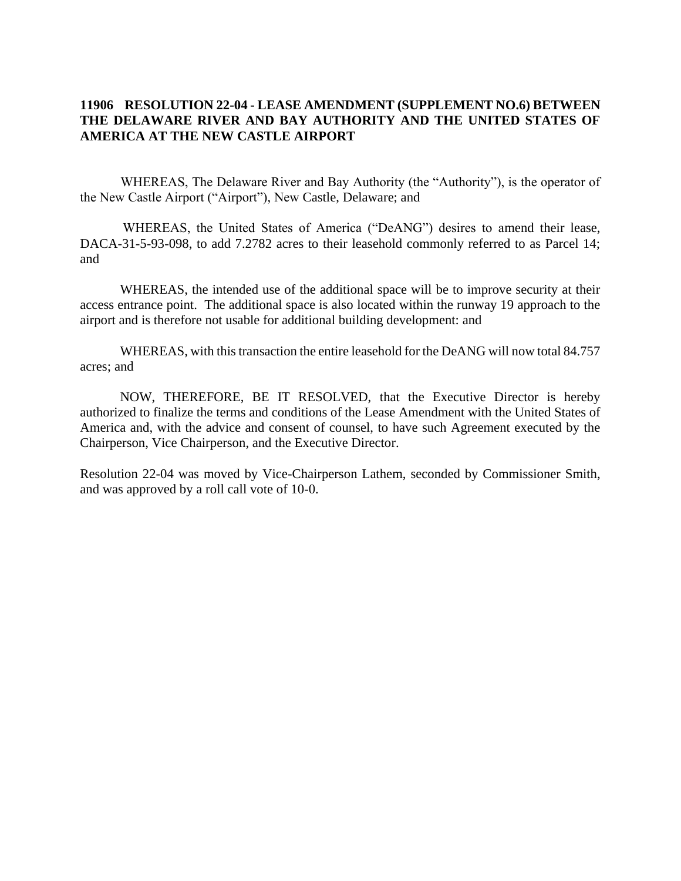## **11906 RESOLUTION 22-04 - LEASE AMENDMENT (SUPPLEMENT NO.6) BETWEEN THE DELAWARE RIVER AND BAY AUTHORITY AND THE UNITED STATES OF AMERICA AT THE NEW CASTLE AIRPORT**

 WHEREAS, The Delaware River and Bay Authority (the "Authority"), is the operator of the New Castle Airport ("Airport"), New Castle, Delaware; and

 WHEREAS, the United States of America ("DeANG") desires to amend their lease, DACA-31-5-93-098, to add 7.2782 acres to their leasehold commonly referred to as Parcel 14; and

WHEREAS, the intended use of the additional space will be to improve security at their access entrance point. The additional space is also located within the runway 19 approach to the airport and is therefore not usable for additional building development: and

WHEREAS, with this transaction the entire leasehold for the DeANG will now total 84.757 acres; and

NOW, THEREFORE, BE IT RESOLVED, that the Executive Director is hereby authorized to finalize the terms and conditions of the Lease Amendment with the United States of America and, with the advice and consent of counsel, to have such Agreement executed by the Chairperson, Vice Chairperson, and the Executive Director.

Resolution 22-04 was moved by Vice-Chairperson Lathem, seconded by Commissioner Smith, and was approved by a roll call vote of 10-0.